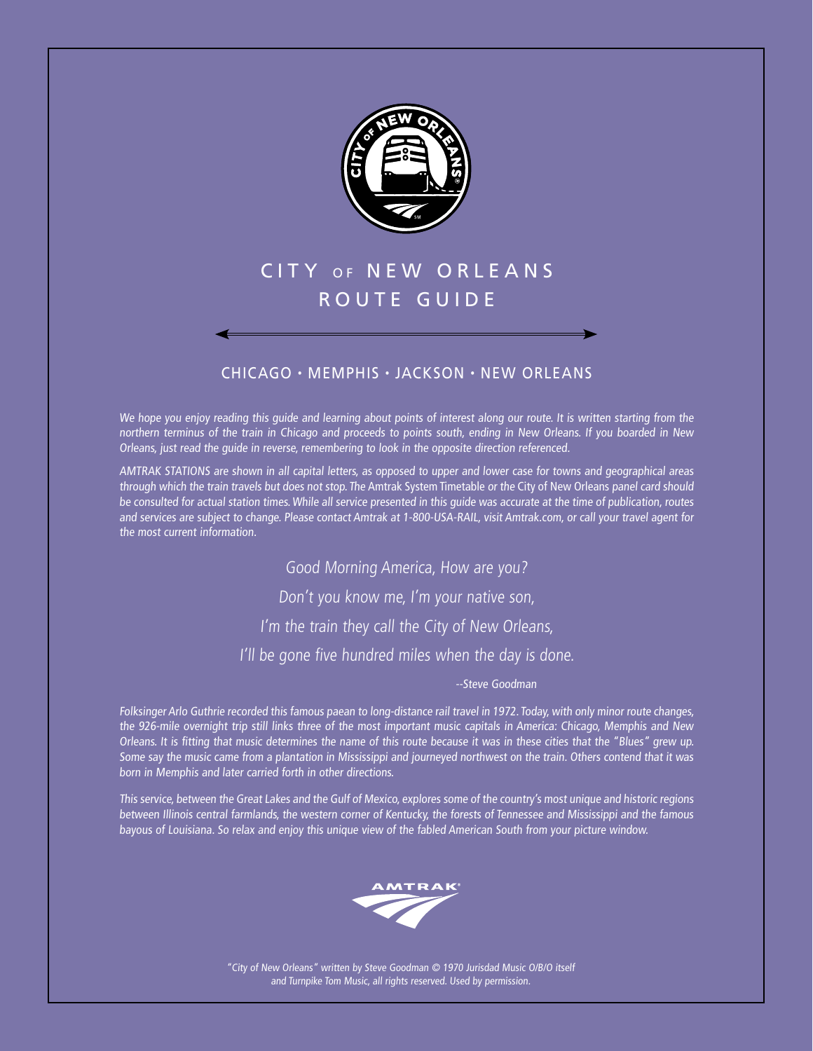

# CITY OF NEW ORLEANS ROUTE GUIDE

# Chicago • Memphis • Jackson • New Orleans

We hope you enjoy reading this guide and learning about points of interest along our route. It is written starting from the northern terminus of the train in Chicago and proceeds to points south, ending in New Orleans. If you boarded in New Orleans, just read the guide in reverse, remembering to look in the opposite direction referenced.

AMTRAK STATIONS are shown in all capital letters, as opposed to upper and lower case for towns and geographical areas through which the train travels but does not stop. The Amtrak System Timetable or the City of New Orleans panel card should be consulted for actual station times. While all service presented in this guide was accurate at the time of publication, routes and services are subject to change. Please contact Amtrak at 1-800-USA-RAIL, visit Amtrak.com, or call your travel agent for the most current information.

> Good Morning America, How are you? Don't you know me, I'm your native son, I'm the train they call the City of New Orleans, I'll be gone five hundred miles when the day is done.

> > --Steve Goodman

Folksinger Arlo Guthrie recorded this famous paean to long-distance rail travel in 1972. Today, with only minor route changes, the 926-mile overnight trip still links three of the most important music capitals in America: Chicago, Memphis and New Orleans. It is fitting that music determines the name of this route because it was in these cities that the "Blues" grew up. Some say the music came from a plantation in Mississippi and journeyed northwest on the train. Others contend that it was born in Memphis and later carried forth in other directions.

This service, between the Great Lakes and the Gulf of Mexico, explores some of the country's most unique and historic regions between Illinois central farmlands, the western corner of Kentucky, the forests of Tennessee and Mississippi and the famous bayous of Louisiana. So relax and enjoy this unique view of the fabled American South from your picture window.



"City of New Orleans" written by Steve Goodman © 1970 Jurisdad Music O/B/O itself and Turnpike Tom Music, all rights reserved. Used by permission.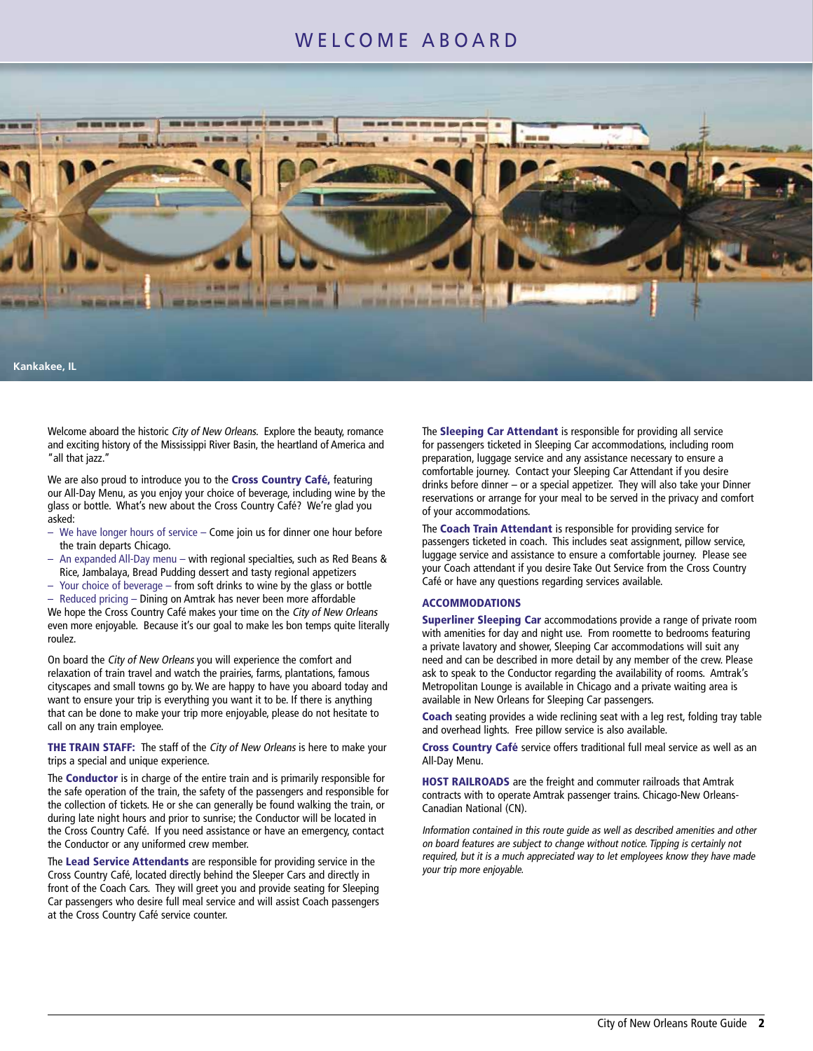# W E L C O M E A B O A R D



Welcome aboard the historic City of New Orleans. Explore the beauty, romance and exciting history of the Mississippi River Basin, the heartland of America and "all that jazz."

We are also proud to introduce you to the Cross Country Café, featuring our All-Day Menu, as you enjoy your choice of beverage, including wine by the glass or bottle. What's new about the Cross Country Café? We're glad you asked:

- We have longer hours of service  $-$  Come join us for dinner one hour before the train departs Chicago.
- An expanded All-Day menu with regional specialties, such as Red Beans & Rice, Jambalaya, Bread Pudding dessert and tasty regional appetizers
- Your choice of beverage from soft drinks to wine by the glass or bottle

– Reduced pricing – Dining on Amtrak has never been more affordable We hope the Cross Country Café makes your time on the City of New Orleans even more enjoyable. Because it's our goal to make les bon temps quite literally roulez.

On board the City of New Orleans you will experience the comfort and relaxation of train travel and watch the prairies, farms, plantations, famous cityscapes and small towns go by. We are happy to have you aboard today and want to ensure your trip is everything you want it to be. If there is anything that can be done to make your trip more enjoyable, please do not hesitate to call on any train employee.

THE TRAIN STAFF: The staff of the City of New Orleans is here to make your trips a special and unique experience.

The **Conductor** is in charge of the entire train and is primarily responsible for the safe operation of the train, the safety of the passengers and responsible for the collection of tickets. He or she can generally be found walking the train, or during late night hours and prior to sunrise; the Conductor will be located in the Cross Country Café. If you need assistance or have an emergency, contact the Conductor or any uniformed crew member.

The Lead Service Attendants are responsible for providing service in the Cross Country Café, located directly behind the Sleeper Cars and directly in front of the Coach Cars. They will greet you and provide seating for Sleeping Car passengers who desire full meal service and will assist Coach passengers at the Cross Country Café service counter.

The Sleeping Car Attendant is responsible for providing all service for passengers ticketed in Sleeping Car accommodations, including room preparation, luggage service and any assistance necessary to ensure a comfortable journey. Contact your Sleeping Car Attendant if you desire drinks before dinner – or a special appetizer. They will also take your Dinner reservations or arrange for your meal to be served in the privacy and comfort of your accommodations.

The Coach Train Attendant is responsible for providing service for passengers ticketed in coach. This includes seat assignment, pillow service, luggage service and assistance to ensure a comfortable journey. Please see your Coach attendant if you desire Take Out Service from the Cross Country Café or have any questions regarding services available.

#### ACCOMMODATIONS

Superliner Sleeping Car accommodations provide a range of private room with amenities for day and night use. From roomette to bedrooms featuring a private lavatory and shower, Sleeping Car accommodations will suit any need and can be described in more detail by any member of the crew. Please ask to speak to the Conductor regarding the availability of rooms. Amtrak's Metropolitan Lounge is available in Chicago and a private waiting area is available in New Orleans for Sleeping Car passengers.

Coach seating provides a wide reclining seat with a leg rest, folding tray table and overhead lights. Free pillow service is also available.

Cross Country Café service offers traditional full meal service as well as an All-Day Menu.

HOST RAILROADS are the freight and commuter railroads that Amtrak contracts with to operate Amtrak passenger trains. Chicago-New Orleans-Canadian National (CN).

Information contained in this route guide as well as described amenities and other on board features are subject to change without notice. Tipping is certainly not required, but it is a much appreciated way to let employees know they have made your trip more enjoyable.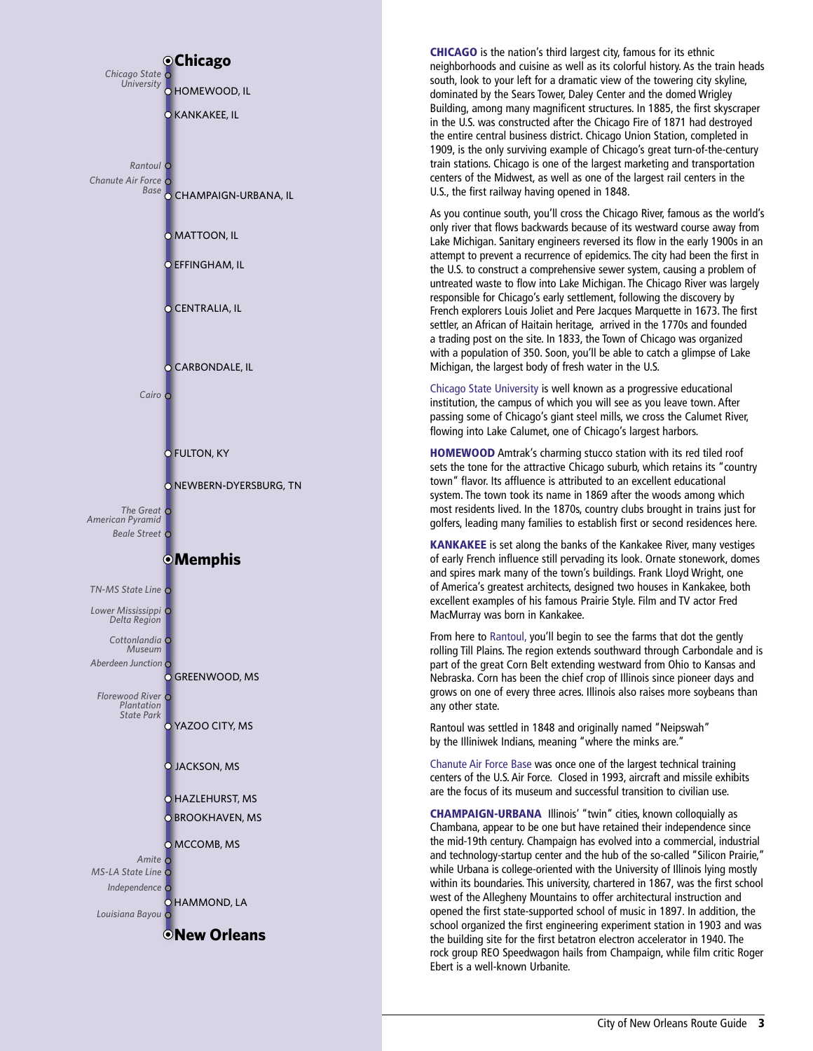

CHICAGO is the nation's third largest city, famous for its ethnic neighborhoods and cuisine as well as its colorful history. As the train heads south, look to your left for a dramatic view of the towering city skyline, dominated by the Sears Tower, Daley Center and the domed Wrigley Building, among many magnificent structures. In 1885, the first skyscraper in the U.S. was constructed after the Chicago Fire of 1871 had destroyed the entire central business district. Chicago Union Station, completed in 1909, is the only surviving example of Chicago's great turn-of-the-century train stations. Chicago is one of the largest marketing and transportation centers of the Midwest, as well as one of the largest rail centers in the U.S., the first railway having opened in 1848.

As you continue south, you'll cross the Chicago River, famous as the world's only river that flows backwards because of its westward course away from Lake Michigan. Sanitary engineers reversed its flow in the early 1900s in an attempt to prevent a recurrence of epidemics. The city had been the first in the U.S. to construct a comprehensive sewer system, causing a problem of untreated waste to flow into Lake Michigan. The Chicago River was largely responsible for Chicago's early settlement, following the discovery by French explorers Louis Joliet and Pere Jacques Marquette in 1673. The first settler, an African of Haitain heritage, arrived in the 1770s and founded a trading post on the site. In 1833, the Town of Chicago was organized with a population of 350. Soon, you'll be able to catch a glimpse of Lake Michigan, the largest body of fresh water in the U.S.

Chicago State University is well known as a progressive educational institution, the campus of which you will see as you leave town. After passing some of Chicago's giant steel mills, we cross the Calumet River, flowing into Lake Calumet, one of Chicago's largest harbors.

HOMEWOOD Amtrak's charming stucco station with its red tiled roof sets the tone for the attractive Chicago suburb, which retains its "country town" flavor. Its affluence is attributed to an excellent educational system. The town took its name in 1869 after the woods among which most residents lived. In the 1870s, country clubs brought in trains just for golfers, leading many families to establish first or second residences here.

KANKAKEE is set along the banks of the Kankakee River, many vestiges of early French influence still pervading its look. Ornate stonework, domes and spires mark many of the town's buildings. Frank Lloyd Wright, one of America's greatest architects, designed two houses in Kankakee, both excellent examples of his famous Prairie Style. Film and TV actor Fred MacMurray was born in Kankakee.

From here to Rantoul, you'll begin to see the farms that dot the gently rolling Till Plains. The region extends southward through Carbondale and is part of the great Corn Belt extending westward from Ohio to Kansas and Nebraska. Corn has been the chief crop of Illinois since pioneer days and grows on one of every three acres. Illinois also raises more soybeans than any other state.

Rantoul was settled in 1848 and originally named "Neipswah" by the Illiniwek Indians, meaning "where the minks are."

Chanute Air Force Base was once one of the largest technical training centers of the U.S. Air Force. Closed in 1993, aircraft and missile exhibits are the focus of its museum and successful transition to civilian use.

CHAMPAIGN-URBANA Illinois' "twin" cities, known colloquially as Chambana, appear to be one but have retained their independence since the mid-19th century. Champaign has evolved into a commercial, industrial and technology-startup center and the hub of the so-called "Silicon Prairie," while Urbana is college-oriented with the University of Illinois lying mostly within its boundaries. This university, chartered in 1867, was the first school west of the Allegheny Mountains to offer architectural instruction and opened the first state-supported school of music in 1897. In addition, the school organized the first engineering experiment station in 1903 and was the building site for the first betatron electron accelerator in 1940. The rock group REO Speedwagon hails from Champaign, while film critic Roger Ebert is a well-known Urbanite.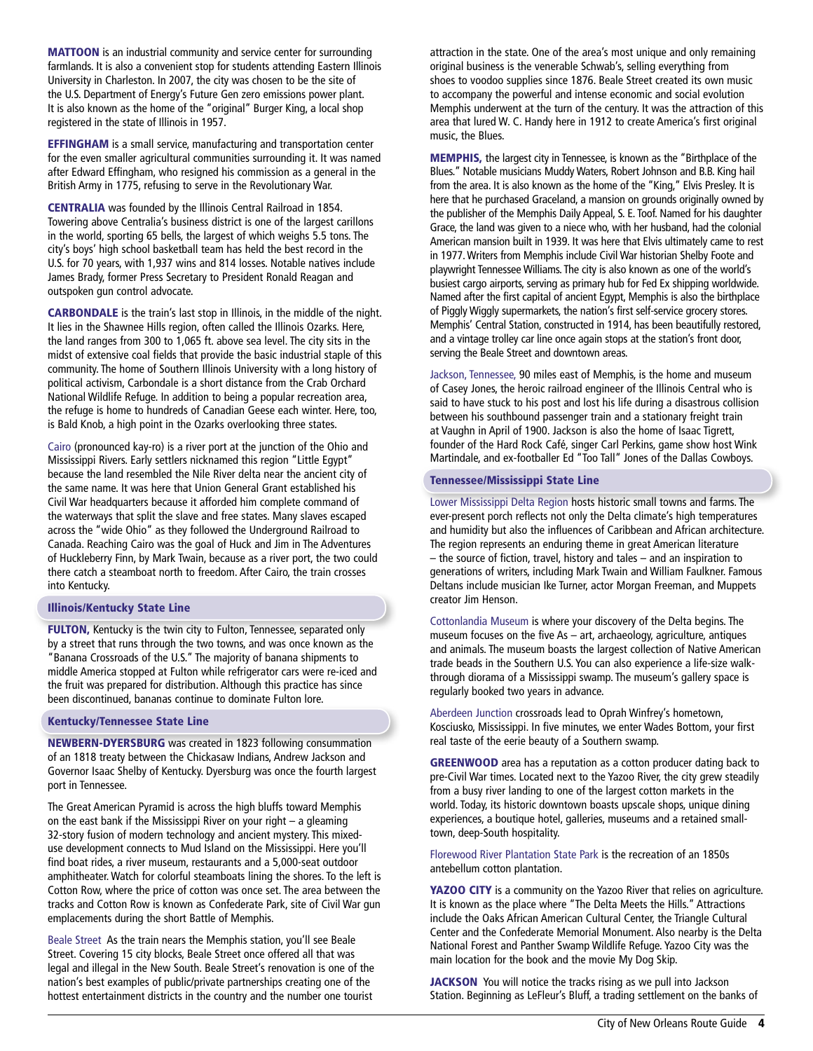MATTOON is an industrial community and service center for surrounding farmlands. It is also a convenient stop for students attending Eastern Illinois University in Charleston. In 2007, the city was chosen to be the site of the U.S. Department of Energy's Future Gen zero emissions power plant. It is also known as the home of the "original" Burger King, a local shop registered in the state of Illinois in 1957.

EFFINGHAM is a small service, manufacturing and transportation center for the even smaller agricultural communities surrounding it. It was named after Edward Effingham, who resigned his commission as a general in the British Army in 1775, refusing to serve in the Revolutionary War.

CENTRALIA was founded by the Illinois Central Railroad in 1854. Towering above Centralia's business district is one of the largest carillons in the world, sporting 65 bells, the largest of which weighs 5.5 tons. The city's boys' high school basketball team has held the best record in the U.S. for 70 years, with 1,937 wins and 814 losses. Notable natives include James Brady, former Press Secretary to President Ronald Reagan and outspoken gun control advocate.

CARBONDALE is the train's last stop in Illinois, in the middle of the night. It lies in the Shawnee Hills region, often called the Illinois Ozarks. Here, the land ranges from 300 to 1,065 ft. above sea level. The city sits in the midst of extensive coal fields that provide the basic industrial staple of this community. The home of Southern Illinois University with a long history of political activism, Carbondale is a short distance from the Crab Orchard National Wildlife Refuge. In addition to being a popular recreation area, the refuge is home to hundreds of Canadian Geese each winter. Here, too, is Bald Knob, a high point in the Ozarks overlooking three states.

Cairo (pronounced kay-ro) is a river port at the junction of the Ohio and Mississippi Rivers. Early settlers nicknamed this region "Little Egypt" because the land resembled the Nile River delta near the ancient city of the same name. It was here that Union General Grant established his Civil War headquarters because it afforded him complete command of the waterways that split the slave and free states. Many slaves escaped across the "wide Ohio" as they followed the Underground Railroad to Canada. Reaching Cairo was the goal of Huck and Jim in The Adventures of Huckleberry Finn, by Mark Twain, because as a river port, the two could there catch a steamboat north to freedom. After Cairo, the train crosses into Kentucky.

#### Illinois/Kentucky State Line

FULTON, Kentucky is the twin city to Fulton, Tennessee, separated only by a street that runs through the two towns, and was once known as the "Banana Crossroads of the U.S." The majority of banana shipments to middle America stopped at Fulton while refrigerator cars were re-iced and the fruit was prepared for distribution. Although this practice has since been discontinued, bananas continue to dominate Fulton lore.

#### Kentucky/Tennessee State Line

NEWBERN-DYERSBURG was created in 1823 following consummation of an 1818 treaty between the Chickasaw Indians, Andrew Jackson and Governor Isaac Shelby of Kentucky. Dyersburg was once the fourth largest port in Tennessee.

The Great American Pyramid is across the high bluffs toward Memphis on the east bank if the Mississippi River on your right – a gleaming 32-story fusion of modern technology and ancient mystery. This mixeduse development connects to Mud Island on the Mississippi. Here you'll find boat rides, a river museum, restaurants and a 5,000-seat outdoor amphitheater. Watch for colorful steamboats lining the shores. To the left is Cotton Row, where the price of cotton was once set. The area between the tracks and Cotton Row is known as Confederate Park, site of Civil War gun emplacements during the short Battle of Memphis.

Beale Street As the train nears the Memphis station, you'll see Beale Street. Covering 15 city blocks, Beale Street once offered all that was legal and illegal in the New South. Beale Street's renovation is one of the nation's best examples of public/private partnerships creating one of the hottest entertainment districts in the country and the number one tourist

attraction in the state. One of the area's most unique and only remaining original business is the venerable Schwab's, selling everything from shoes to voodoo supplies since 1876. Beale Street created its own music to accompany the powerful and intense economic and social evolution Memphis underwent at the turn of the century. It was the attraction of this area that lured W. C. Handy here in 1912 to create America's first original music, the Blues.

MEMPHIS, the largest city in Tennessee, is known as the "Birthplace of the Blues." Notable musicians Muddy Waters, Robert Johnson and B.B. King hail from the area. It is also known as the home of the "King," Elvis Presley. It is here that he purchased Graceland, a mansion on grounds originally owned by the publisher of the Memphis Daily Appeal, S. E. Toof. Named for his daughter Grace, the land was given to a niece who, with her husband, had the colonial American mansion built in 1939. It was here that Elvis ultimately came to rest in 1977. Writers from Memphis include Civil War historian Shelby Foote and playwright Tennessee Williams. The city is also known as one of the world's busiest cargo airports, serving as primary hub for Fed Ex shipping worldwide. Named after the first capital of ancient Egypt, Memphis is also the birthplace of Piggly Wiggly supermarkets, the nation's first self-service grocery stores. Memphis' Central Station, constructed in 1914, has been beautifully restored, and a vintage trolley car line once again stops at the station's front door, serving the Beale Street and downtown areas.

Jackson, Tennessee, 90 miles east of Memphis, is the home and museum of Casey Jones, the heroic railroad engineer of the Illinois Central who is said to have stuck to his post and lost his life during a disastrous collision between his southbound passenger train and a stationary freight train at Vaughn in April of 1900. Jackson is also the home of Isaac Tigrett, founder of the Hard Rock Café, singer Carl Perkins, game show host Wink Martindale, and ex-footballer Ed "Too Tall" Jones of the Dallas Cowboys.

#### Tennessee/Mississippi State Line

Lower Mississippi Delta Region hosts historic small towns and farms. The ever-present porch reflects not only the Delta climate's high temperatures and humidity but also the influences of Caribbean and African architecture. The region represents an enduring theme in great American literature – the source of fiction, travel, history and tales – and an inspiration to generations of writers, including Mark Twain and William Faulkner. Famous Deltans include musician Ike Turner, actor Morgan Freeman, and Muppets creator Jim Henson.

Cottonlandia Museum is where your discovery of the Delta begins. The museum focuses on the five As – art, archaeology, agriculture, antiques and animals. The museum boasts the largest collection of Native American trade beads in the Southern U.S. You can also experience a life-size walkthrough diorama of a Mississippi swamp. The museum's gallery space is regularly booked two years in advance.

Aberdeen Junction crossroads lead to Oprah Winfrey's hometown, Kosciusko, Mississippi. In five minutes, we enter Wades Bottom, your first real taste of the eerie beauty of a Southern swamp.

GREENWOOD area has a reputation as a cotton producer dating back to pre-Civil War times. Located next to the Yazoo River, the city grew steadily from a busy river landing to one of the largest cotton markets in the world. Today, its historic downtown boasts upscale shops, unique dining experiences, a boutique hotel, galleries, museums and a retained smalltown, deep-South hospitality.

Florewood River Plantation State Park is the recreation of an 1850s antebellum cotton plantation.

YAZOO CITY is a community on the Yazoo River that relies on agriculture. It is known as the place where "The Delta Meets the Hills." Attractions include the Oaks African American Cultural Center, the Triangle Cultural Center and the Confederate Memorial Monument. Also nearby is the Delta National Forest and Panther Swamp Wildlife Refuge. Yazoo City was the main location for the book and the movie My Dog Skip.

JACKSON You will notice the tracks rising as we pull into Jackson Station. Beginning as LeFleur's Bluff, a trading settlement on the banks of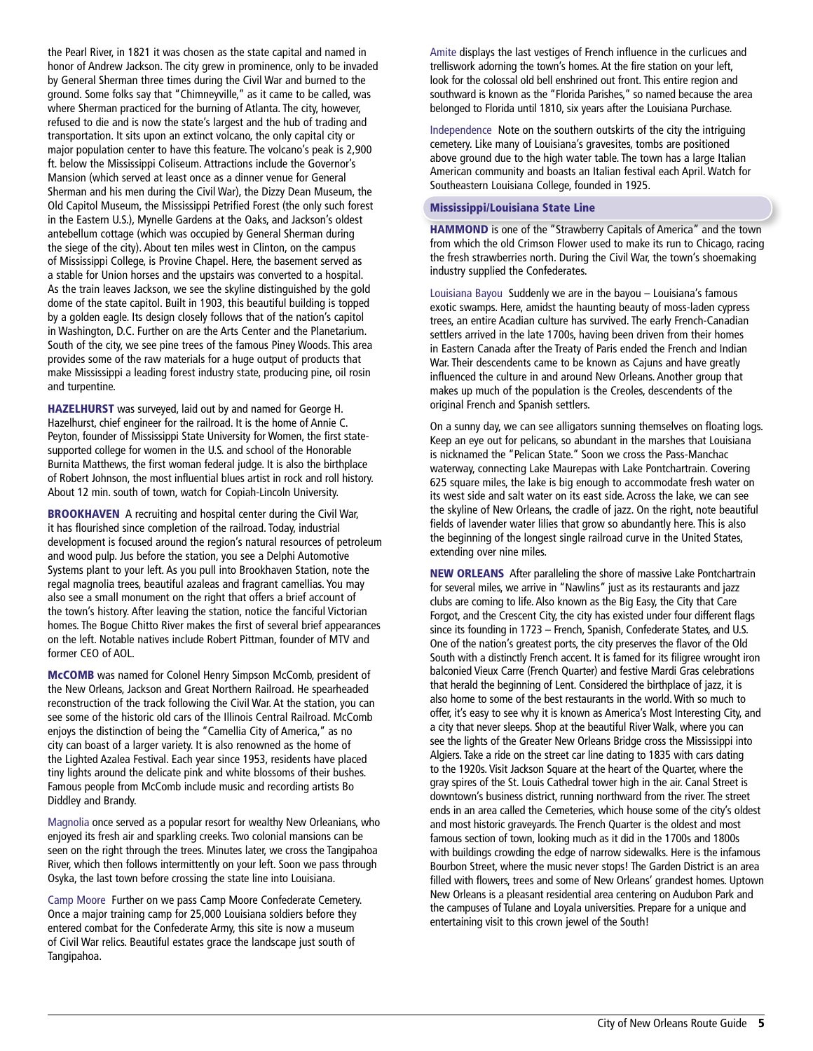the Pearl River, in 1821 it was chosen as the state capital and named in honor of Andrew Jackson. The city grew in prominence, only to be invaded by General Sherman three times during the Civil War and burned to the ground. Some folks say that "Chimneyville," as it came to be called, was where Sherman practiced for the burning of Atlanta. The city, however, refused to die and is now the state's largest and the hub of trading and transportation. It sits upon an extinct volcano, the only capital city or major population center to have this feature. The volcano's peak is 2,900 ft. below the Mississippi Coliseum. Attractions include the Governor's Mansion (which served at least once as a dinner venue for General Sherman and his men during the Civil War), the Dizzy Dean Museum, the Old Capitol Museum, the Mississippi Petrified Forest (the only such forest in the Eastern U.S.), Mynelle Gardens at the Oaks, and Jackson's oldest antebellum cottage (which was occupied by General Sherman during the siege of the city). About ten miles west in Clinton, on the campus of Mississippi College, is Provine Chapel. Here, the basement served as a stable for Union horses and the upstairs was converted to a hospital. As the train leaves Jackson, we see the skyline distinguished by the gold dome of the state capitol. Built in 1903, this beautiful building is topped by a golden eagle. Its design closely follows that of the nation's capitol in Washington, D.C. Further on are the Arts Center and the Planetarium. South of the city, we see pine trees of the famous Piney Woods. This area provides some of the raw materials for a huge output of products that make Mississippi a leading forest industry state, producing pine, oil rosin and turpentine.

HAZELHURST was surveyed, laid out by and named for George H. Hazelhurst, chief engineer for the railroad. It is the home of Annie C. Peyton, founder of Mississippi State University for Women, the first statesupported college for women in the U.S. and school of the Honorable Burnita Matthews, the first woman federal judge. It is also the birthplace of Robert Johnson, the most influential blues artist in rock and roll history. About 12 min. south of town, watch for Copiah-Lincoln University.

BROOKHAVEN A recruiting and hospital center during the Civil War, it has flourished since completion of the railroad. Today, industrial development is focused around the region's natural resources of petroleum and wood pulp. Jus before the station, you see a Delphi Automotive Systems plant to your left. As you pull into Brookhaven Station, note the regal magnolia trees, beautiful azaleas and fragrant camellias. You may also see a small monument on the right that offers a brief account of the town's history. After leaving the station, notice the fanciful Victorian homes. The Bogue Chitto River makes the first of several brief appearances on the left. Notable natives include Robert Pittman, founder of MTV and former CEO of AOL.

McCOMB was named for Colonel Henry Simpson McComb, president of the New Orleans, Jackson and Great Northern Railroad. He spearheaded reconstruction of the track following the Civil War. At the station, you can see some of the historic old cars of the Illinois Central Railroad. McComb enjoys the distinction of being the "Camellia City of America," as no city can boast of a larger variety. It is also renowned as the home of the Lighted Azalea Festival. Each year since 1953, residents have placed tiny lights around the delicate pink and white blossoms of their bushes. Famous people from McComb include music and recording artists Bo Diddley and Brandy.

Magnolia once served as a popular resort for wealthy New Orleanians, who enjoyed its fresh air and sparkling creeks. Two colonial mansions can be seen on the right through the trees. Minutes later, we cross the Tangipahoa River, which then follows intermittently on your left. Soon we pass through Osyka, the last town before crossing the state line into Louisiana.

Camp Moore Further on we pass Camp Moore Confederate Cemetery. Once a major training camp for 25,000 Louisiana soldiers before they entered combat for the Confederate Army, this site is now a museum of Civil War relics. Beautiful estates grace the landscape just south of Tangipahoa.

Amite displays the last vestiges of French influence in the curlicues and trelliswork adorning the town's homes. At the fire station on your left, look for the colossal old bell enshrined out front. This entire region and southward is known as the "Florida Parishes," so named because the area belonged to Florida until 1810, six years after the Louisiana Purchase.

Independence Note on the southern outskirts of the city the intriguing cemetery. Like many of Louisiana's gravesites, tombs are positioned above ground due to the high water table. The town has a large Italian American community and boasts an Italian festival each April. Watch for Southeastern Louisiana College, founded in 1925.

#### Mississippi/Louisiana State Line

**HAMMOND** is one of the "Strawberry Capitals of America" and the town from which the old Crimson Flower used to make its run to Chicago, racing the fresh strawberries north. During the Civil War, the town's shoemaking industry supplied the Confederates.

Louisiana Bayou Suddenly we are in the bayou – Louisiana's famous exotic swamps. Here, amidst the haunting beauty of moss-laden cypress trees, an entire Acadian culture has survived. The early French-Canadian settlers arrived in the late 1700s, having been driven from their homes in Eastern Canada after the Treaty of Paris ended the French and Indian War. Their descendents came to be known as Cajuns and have greatly influenced the culture in and around New Orleans. Another group that makes up much of the population is the Creoles, descendents of the original French and Spanish settlers.

On a sunny day, we can see alligators sunning themselves on floating logs. Keep an eye out for pelicans, so abundant in the marshes that Louisiana is nicknamed the "Pelican State." Soon we cross the Pass-Manchac waterway, connecting Lake Maurepas with Lake Pontchartrain. Covering 625 square miles, the lake is big enough to accommodate fresh water on its west side and salt water on its east side. Across the lake, we can see the skyline of New Orleans, the cradle of jazz. On the right, note beautiful fields of lavender water lilies that grow so abundantly here. This is also the beginning of the longest single railroad curve in the United States, extending over nine miles.

**NEW ORLEANS** After paralleling the shore of massive Lake Pontchartrain for several miles, we arrive in "Nawlins" just as its restaurants and jazz clubs are coming to life. Also known as the Big Easy, the City that Care Forgot, and the Crescent City, the city has existed under four different flags since its founding in 1723 – French, Spanish, Confederate States, and U.S. One of the nation's greatest ports, the city preserves the flavor of the Old South with a distinctly French accent. It is famed for its filigree wrought iron balconied Vieux Carre (French Quarter) and festive Mardi Gras celebrations that herald the beginning of Lent. Considered the birthplace of jazz, it is also home to some of the best restaurants in the world. With so much to offer, it's easy to see why it is known as America's Most Interesting City, and a city that never sleeps. Shop at the beautiful River Walk, where you can see the lights of the Greater New Orleans Bridge cross the Mississippi into Algiers. Take a ride on the street car line dating to 1835 with cars dating to the 1920s. Visit Jackson Square at the heart of the Quarter, where the gray spires of the St. Louis Cathedral tower high in the air. Canal Street is downtown's business district, running northward from the river. The street ends in an area called the Cemeteries, which house some of the city's oldest and most historic graveyards. The French Quarter is the oldest and most famous section of town, looking much as it did in the 1700s and 1800s with buildings crowding the edge of narrow sidewalks. Here is the infamous Bourbon Street, where the music never stops! The Garden District is an area filled with flowers, trees and some of New Orleans' grandest homes. Uptown New Orleans is a pleasant residential area centering on Audubon Park and the campuses of Tulane and Loyala universities. Prepare for a unique and entertaining visit to this crown jewel of the South!